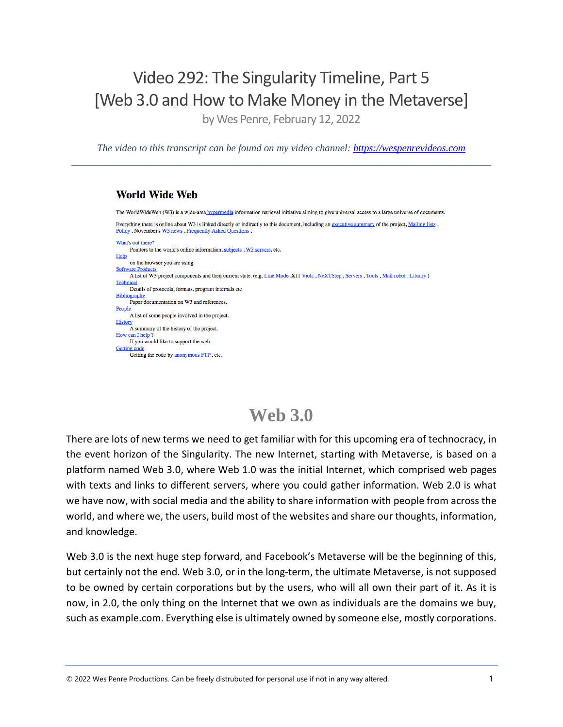### Video 292: The Singularity Timeline, Part 5 [Web 3.0 and How to Make Money in the Metaverse]

by Wes Penre, February 12, 2022

*The video to this transcript can be found on my video channel: [https://wespenrevideos.com](https://wespenrevideos.com/)  \_\_\_\_\_\_\_\_\_\_\_\_\_\_\_\_\_\_\_\_\_\_\_\_\_\_\_\_\_\_\_\_\_\_\_\_\_\_\_\_\_\_\_\_\_\_\_\_\_\_\_\_\_\_\_\_\_\_\_\_\_\_\_\_\_\_\_\_\_\_\_\_\_\_\_\_\_\_\_\_\_\_\_* 

#### **World Wide Web**

The WorldWideWeb (W3) is a wide-area hypermedia information retrieval initiative aiming to give universal access to a large universe of documents. Everything there is online about W3 is linked directly or indirectly to this document, including an executive summary of the project, Mailing lists, Policy, November's W3 news, Frequently Asked Questions What's out there? Pointers to the world's online information, subjects, W3 servers, etc. Help on the browser you are using **Software Product** A list of W3 project components and their current state. (e.g. Line Mode X11 Viola, NeXTStep, Servers, Tools, Mail robot, Library) Technical Details of protocols, formats, program internals etc **Bibliography** Paper documentation on W3 and references People A list of some people involved in the project. History A summary of the history of the project. How can I help? If you would like to support the web.. **Getting code** Getting the code by anonymous FTP, etc.

### **Web 3.0**

There are lots of new terms we need to get familiar with for this upcoming era of technocracy, in the event horizon of the Singularity. The new Internet, starting with Metaverse, is based on a platform named Web 3.0, where Web 1.0 was the initial Internet, which comprised web pages with texts and links to different servers, where you could gather information. Web 2.0 is what we have now, with social media and the ability to share information with people from across the world, and where we, the users, build most of the websites and share our thoughts, information, and knowledge.

Web 3.0 is the next huge step forward, and Facebook's Metaverse will be the beginning of this, but certainly not the end. Web 3.0, or in the long-term, the ultimate Metaverse, is not supposed to be owned by certain corporations but by the users, who will all own their part of it. As it is now, in 2.0, the only thing on the Internet that we own as individuals are the domains we buy, such as example.com. Everything else is ultimately owned by someone else, mostly corporations.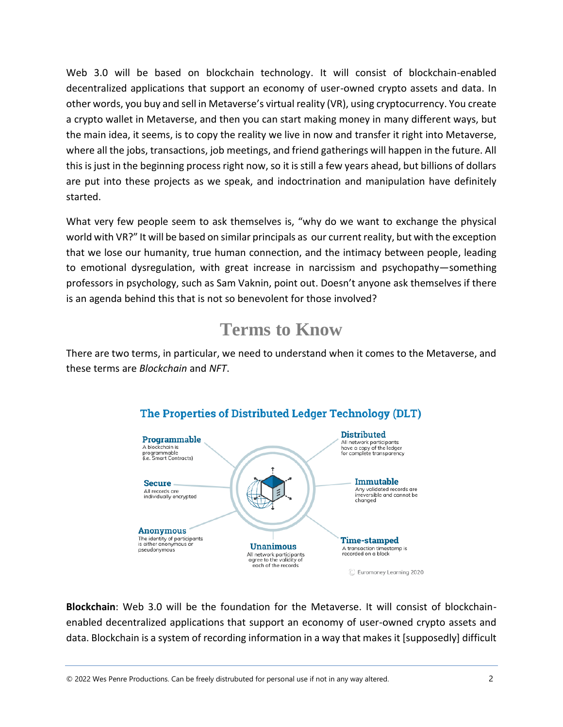Web 3.0 will be based on blockchain technology. It will consist of blockchain-enabled decentralized applications that support an economy of user-owned crypto assets and data. In other words, you buy and sell in Metaverse's virtual reality (VR), using cryptocurrency. You create a crypto wallet in Metaverse, and then you can start making money in many different ways, but the main idea, it seems, is to copy the reality we live in now and transfer it right into Metaverse, where all the jobs, transactions, job meetings, and friend gatherings will happen in the future. All this is just in the beginning process right now, so it is still a few years ahead, but billions of dollars are put into these projects as we speak, and indoctrination and manipulation have definitely started.

What very few people seem to ask themselves is, "why do we want to exchange the physical world with VR?" It will be based on similar principals as our current reality, but with the exception that we lose our humanity, true human connection, and the intimacy between people, leading to emotional dysregulation, with great increase in narcissism and psychopathy—something professors in psychology, such as Sam Vaknin, point out. Doesn't anyone ask themselves if there is an agenda behind this that is not so benevolent for those involved?

### **Terms to Know**

There are two terms, in particular, we need to understand when it comes to the Metaverse, and these terms are *Blockchain* and *NFT*.



### The Properties of Distributed Ledger Technology (DLT)

**Blockchain**: Web 3.0 will be the foundation for the Metaverse. It will consist of blockchainenabled decentralized applications that support an economy of user-owned crypto assets and data. Blockchain is a system of recording information in a way that makes it [supposedly] difficult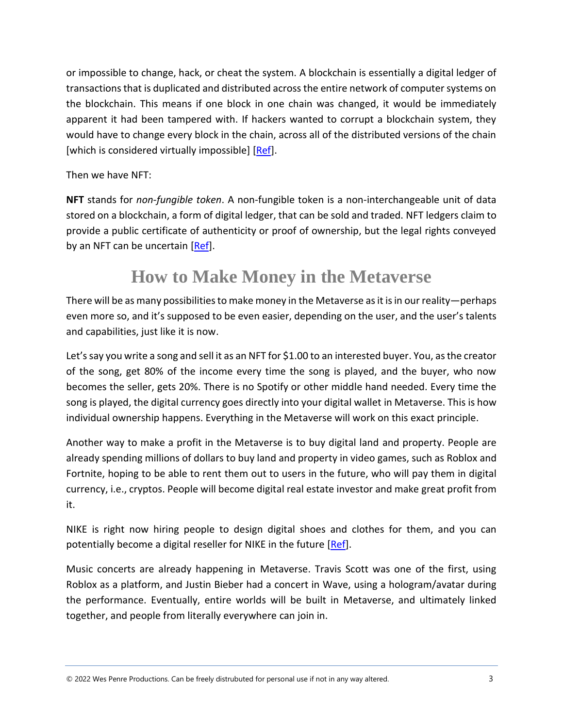or impossible to change, hack, or cheat the system. A blockchain is essentially a digital ledger of transactions that is duplicated and distributed across the entire network of computer systems on the blockchain. This means if one block in one chain was changed, it would be immediately apparent it had been tampered with. If hackers wanted to corrupt a blockchain system, they would have to change every block in the chain, across all of the distributed versions of the chain [which is considered virtually impossible] [\[Ref\]](https://www.euromoney.com/learning/blockchain-explained/what-is-blockchain).

Then we have NFT:

**NFT** stands for *non-fungible token*. A non-fungible token is a non-interchangeable unit of data stored on a blockchain, a form of digital ledger, that can be sold and traded. NFT ledgers claim to provide a public certificate of authenticity or proof of ownership, but the legal rights conveyed by an NFT can be uncertain [\[Ref\]](https://en.wikipedia.org/wiki/Non-fungible_token#:~:text=A%20non%2Dfungible%20token%20(NFT,can%20be%20sold%20and%20traded.&text=NFT%20ledgers%20claim%20to%20provide,an%20NFT%20can%20be%20uncertain).

### **How to Make Money in the Metaverse**

There will be as many possibilities to make money in the Metaverse as it is in our reality—perhaps even more so, and it's supposed to be even easier, depending on the user, and the user's talents and capabilities, just like it is now.

Let's say you write a song and sell it as an NFT for \$1.00 to an interested buyer. You, as the creator of the song, get 80% of the income every time the song is played, and the buyer, who now becomes the seller, gets 20%. There is no Spotify or other middle hand needed. Every time the song is played, the digital currency goes directly into your digital wallet in Metaverse. This is how individual ownership happens. Everything in the Metaverse will work on this exact principle.

Another way to make a profit in the Metaverse is to buy digital land and property. People are already spending millions of dollars to buy land and property in video games, such as Roblox and Fortnite, hoping to be able to rent them out to users in the future, who will pay them in digital currency, i.e., cryptos. People will become digital real estate investor and make great profit from it.

NIKE is right now hiring people to design digital shoes and clothes for them, and you can potentially become a digital reseller for NIKE in the future [\[Ref\]](Why%20Metaverse%20is%20the%20Future%20of%20Work%20&%20How%20to%20get%20Rich%20from%20it).

Music concerts are already happening in Metaverse. Travis Scott was one of the first, using Roblox as a platform, and Justin Bieber had a concert in Wave, using a hologram/avatar during the performance. Eventually, entire worlds will be built in Metaverse, and ultimately linked together, and people from literally everywhere can join in.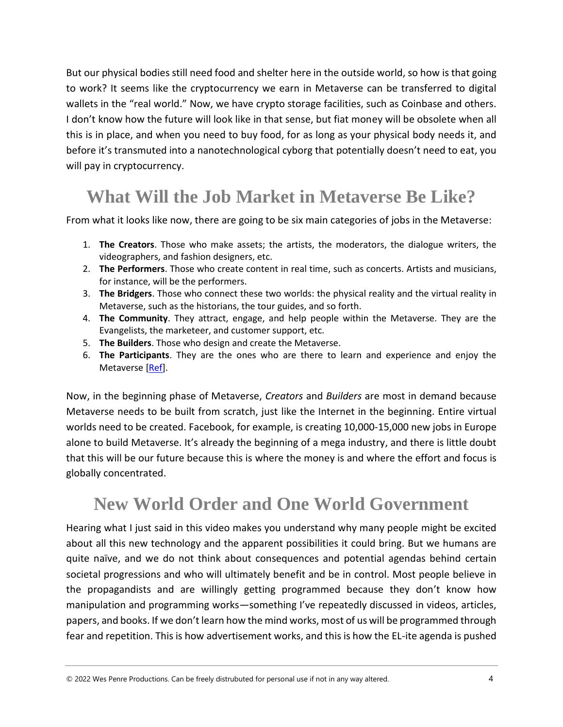But our physical bodies still need food and shelter here in the outside world, so how is that going to work? It seems like the cryptocurrency we earn in Metaverse can be transferred to digital wallets in the "real world." Now, we have crypto storage facilities, such as Coinbase and others. I don't know how the future will look like in that sense, but fiat money will be obsolete when all this is in place, and when you need to buy food, for as long as your physical body needs it, and before it's transmuted into a nanotechnological cyborg that potentially doesn't need to eat, you will pay in cryptocurrency.

## **What Will the Job Market in Metaverse Be Like?**

From what it looks like now, there are going to be six main categories of jobs in the Metaverse:

- 1. **The Creators**. Those who make assets; the artists, the moderators, the dialogue writers, the videographers, and fashion designers, etc.
- 2. **The Performers**. Those who create content in real time, such as concerts. Artists and musicians, for instance, will be the performers.
- 3. **The Bridgers**. Those who connect these two worlds: the physical reality and the virtual reality in Metaverse, such as the historians, the tour guides, and so forth.
- 4. **The Community**. They attract, engage, and help people within the Metaverse. They are the Evangelists, the marketeer, and customer support, etc.
- 5. **The Builders**. Those who design and create the Metaverse.
- 6. **The Participants**. They are the ones who are there to learn and experience and enjoy the Metaverse [\[Ref\]](How%20to%20Make%20Money%20in%20the%20Metaverse%20-%20Jobs%20Hiring%20Now%20&%20the%20Future%20of%20Work).

Now, in the beginning phase of Metaverse, *Creators* and *Builders* are most in demand because Metaverse needs to be built from scratch, just like the Internet in the beginning. Entire virtual worlds need to be created. Facebook, for example, is creating 10,000-15,000 new jobs in Europe alone to build Metaverse. It's already the beginning of a mega industry, and there is little doubt that this will be our future because this is where the money is and where the effort and focus is globally concentrated.

# **New World Order and One World Government**

Hearing what I just said in this video makes you understand why many people might be excited about all this new technology and the apparent possibilities it could bring. But we humans are quite naïve, and we do not think about consequences and potential agendas behind certain societal progressions and who will ultimately benefit and be in control. Most people believe in the propagandists and are willingly getting programmed because they don't know how manipulation and programming works—something I've repeatedly discussed in videos, articles, papers, and books. If we don't learn how the mind works, most of us will be programmed through fear and repetition. This is how advertisement works, and this is how the EL-ite agenda is pushed